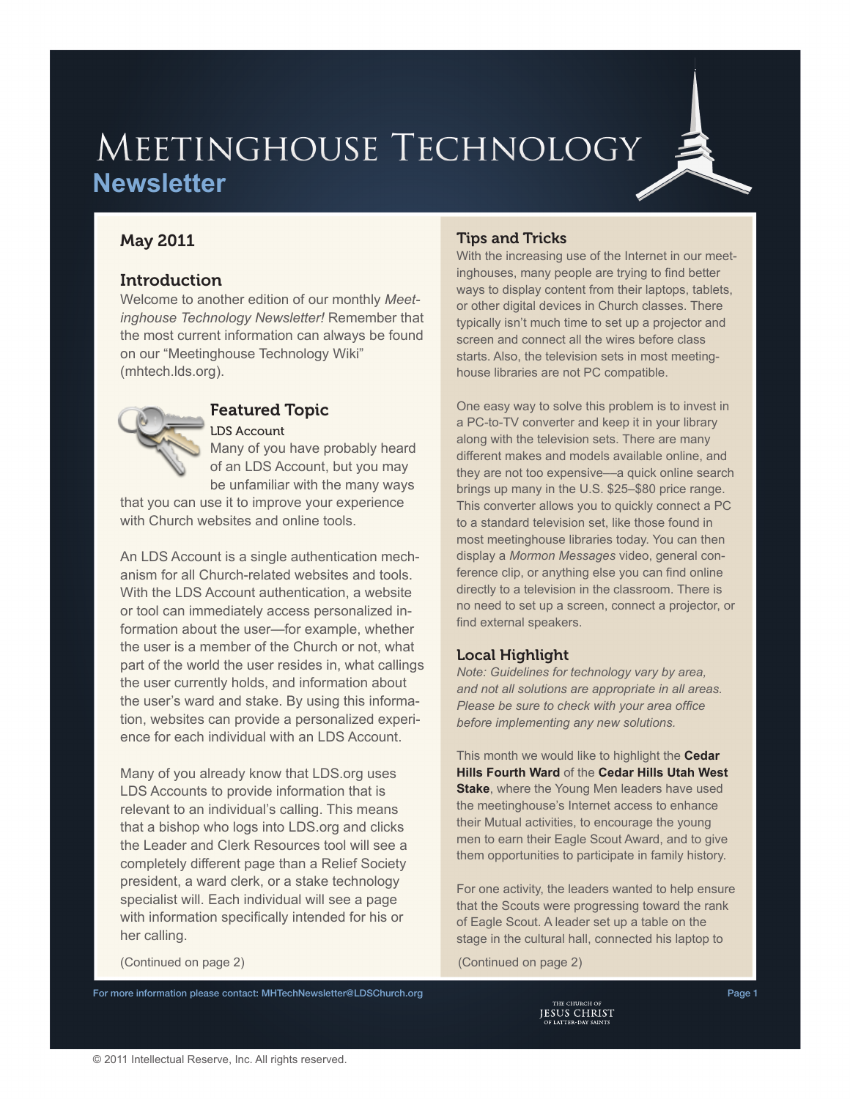# MEETINGHOUSE TECHNOLOGY **Newsletter**

# May 2011

### **Introduction**

Welcome to another edition of our monthly *Meetinghouse Technology Newsletter!* Remember that the most current information can always be found on our "Meetinghouse Technology Wiki" [\(mhtech.lds.org\)](http://mhtech.lds.org).



#### Featured Topic LDS Account

Many of you have probably heard of an LDS Account, but you may be unfamiliar with the many ways

that you can use it to improve your experience with Church websites and online tools.

An LDS Account is a single authentication mechanism for all Church-related websites and tools. With the LDS Account authentication, a website or tool can immediately access personalized information about the user—for example, whether the user is a member of the Church or not, what part of the world the user resides in, what callings the user currently holds, and information about the user's ward and stake. By using this information, websites can provide a personalized experience for each individual with an LDS Account.

Many of you already know that LDS.org uses LDS Accounts to provide information that is relevant to an individual's calling. This means that a bishop who logs into LDS.org and clicks the Leader and Clerk Resources tool will see a completely different page than a Relief Society president, a ward clerk, or a stake technology specialist will. Each individual will see a page with information specifically intended for his or her calling.

## Tips and Tricks

With the increasing use of the Internet in our meetinghouses, many people are trying to find better ways to display content from their laptops, tablets, or other digital devices in Church classes. There typically isn't much time to set up a projector and screen and connect all the wires before class starts. Also, the television sets in most meetinghouse libraries are not PC compatible.

One easy way to solve this problem is to invest in a PC-to-TV converter and keep it in your library along with the television sets. There are many different makes and models available online, and they are not too expensive––a quick online search brings up many in the U.S. \$25–\$80 price range. This converter allows you to quickly connect a PC to a standard television set, like those found in most meetinghouse libraries today. You can then display a *Mormon Messages* video, general conference clip, or anything else you can find online directly to a television in the classroom. There is no need to set up a screen, connect a projector, or find external speakers.

### Local Highlight

*Note: Guidelines for technology vary by area, and not all solutions are appropriate in all areas. Please be sure to check with your area office before implementing any new solutions.*

This month we would like to highlight the **Cedar Hills Fourth Ward** of the **Cedar Hills Utah West Stake**, where the Young Men leaders have used the meetinghouse's Internet access to enhance their Mutual activities, to encourage the young men to earn their Eagle Scout Award, and to give them opportunities to participate in family history.

For one activity, the leaders wanted to help ensure that the Scouts were progressing toward the rank of Eagle Scout. A leader set up a table on the stage in the cultural hall, connected his laptop to

(Continued on page 2) (Continued on page 2)

For more information please contact: [MHTechNewsletter@LDSChurch.org](mailto:mhtechnewsletter%40ldschurch.org?subject=)<br>Page 1<br>JESUS CHRIST